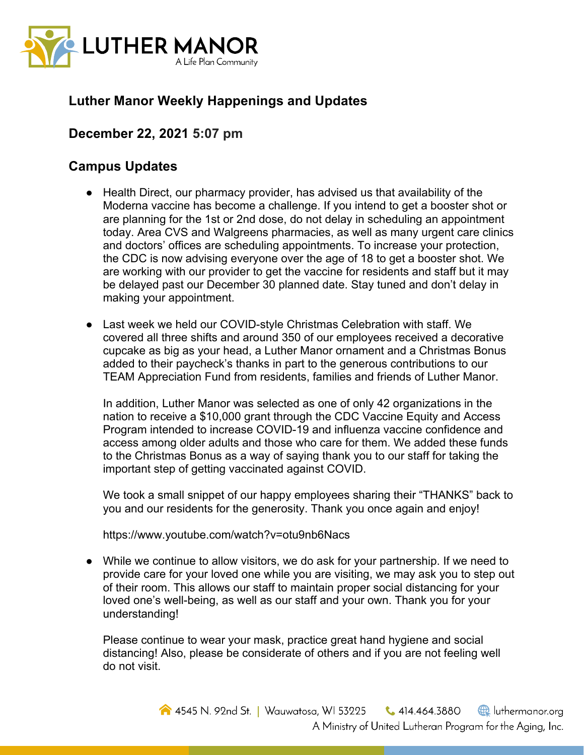

## **Luther Manor Weekly Happenings and Updates**

## **December 22, 2021 5:07 pm**

## **Campus Updates**

- Health Direct, our pharmacy provider, has advised us that availability of the Moderna vaccine has become a challenge. If you intend to get a booster shot or are planning for the 1st or 2nd dose, do not delay in scheduling an appointment today. Area CVS and Walgreens pharmacies, as well as many urgent care clinics and doctors' offices are scheduling appointments. To increase your protection, the CDC is now advising everyone over the age of 18 to get a booster shot. We are working with our provider to get the vaccine for residents and staff but it may be delayed past our December 30 planned date. Stay tuned and don't delay in making your appointment.
- Last week we held our COVID-style Christmas Celebration with staff. We covered all three shifts and around 350 of our employees received a decorative cupcake as big as your head, a Luther Manor ornament and a Christmas Bonus added to their paycheck's thanks in part to the generous contributions to our TEAM Appreciation Fund from residents, families and friends of Luther Manor.

In addition, Luther Manor was selected as one of only 42 organizations in the nation to receive a \$10,000 grant through the CDC Vaccine Equity and Access Program intended to increase COVID-19 and influenza vaccine confidence and access among older adults and those who care for them. We added these funds to the Christmas Bonus as a way of saying thank you to our staff for taking the important step of getting vaccinated against COVID.

We took a small snippet of our happy employees sharing their "THANKS" back to you and our residents for the generosity. Thank you once again and enjoy!

https://www.youtube.com/watch?v=otu9nb6Nacs

● While we continue to allow visitors, we do ask for your partnership. If we need to provide care for your loved one while you are visiting, we may ask you to step out of their room. This allows our staff to maintain proper social distancing for your loved one's well-being, as well as our staff and your own. Thank you for your understanding!

Please continue to wear your mask, practice great hand hygiene and social distancing! Also, please be considerate of others and if you are not feeling well do not visit.